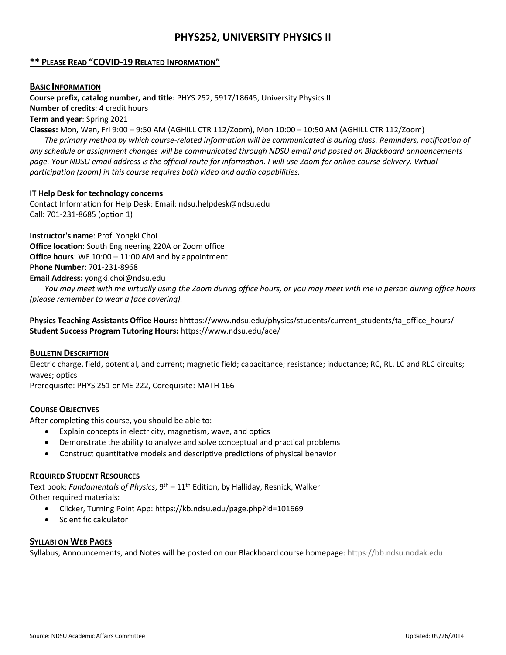# **PHYS252, UNIVERSITY PHYSICS II**

## **\*\* PLEASE READ "COVID-19 RELATED INFORMATION"**

#### **BASIC INFORMATION**

**Course prefix, catalog number, and title:** PHYS 252, 5917/18645, University Physics II

**Number of credits**: 4 credit hours

**Term and year**: Spring 2021

**Classes:** Mon, Wen, Fri 9:00 – 9:50 AM (AGHILL CTR 112/Zoom), Mon 10:00 – 10:50 AM (AGHILL CTR 112/Zoom)

*The primary method by which course-related information will be communicated is during class. Reminders, notification of any schedule or assignment changes will be communicated through NDSU email and posted on Blackboard announcements page. Your NDSU email address is the official route for information. I will use Zoom for online course delivery. Virtual participation (zoom) in this course requires both video and audio capabilities.*

#### **IT Help Desk for technology concerns**

Contact Information for Help Desk: Email: [ndsu.helpdesk@ndsu.edu](mailto:ndsu.helpdesk@ndsu.edu) Call: 701-231-8685 (option 1)

**Instructor's name**: Prof. Yongki Choi **Office location**: South Engineering 220A or Zoom office **Office hours**: WF 10:00 – 11:00 AM and by appointment **Phone Number:** 701-231-8968 **Email Address:** yongki.choi@ndsu.edu

*You may meet with me virtually using the Zoom during office hours, or you may meet with me in person during office hours (please remember to wear a face covering).* 

**Physics Teaching Assistants Office Hours:** hhttps://www.ndsu.edu/physics/students/current\_students/ta\_office\_hours/ **Student Success Program Tutoring Hours:** https://www.ndsu.edu/ace/

#### **BULLETIN DESCRIPTION**

Electric charge, field, potential, and current; magnetic field; capacitance; resistance; inductance; RC, RL, LC and RLC circuits; waves; optics

Prerequisite: PHYS 251 or ME 222, Corequisite: MATH 166

## **COURSE OBJECTIVES**

After completing this course, you should be able to:

- Explain concepts in electricity, magnetism, wave, and optics
- Demonstrate the ability to analyze and solve conceptual and practical problems
- Construct quantitative models and descriptive predictions of physical behavior

#### **REQUIRED STUDENT RESOURCES**

Text book: *Fundamentals of Physics*, 9th – 11th Edition, by Halliday, Resnick, Walker Other required materials:

- Clicker, Turning Point App: https://kb.ndsu.edu/page.php?id=101669
- Scientific calculator

#### **SYLLABI ON WEB PAGES**

Syllabus, Announcements, and Notes will be posted on our Blackboard course homepage[: https://bb.ndsu.nodak.edu](https://bb.ndsu.nodak.edu/)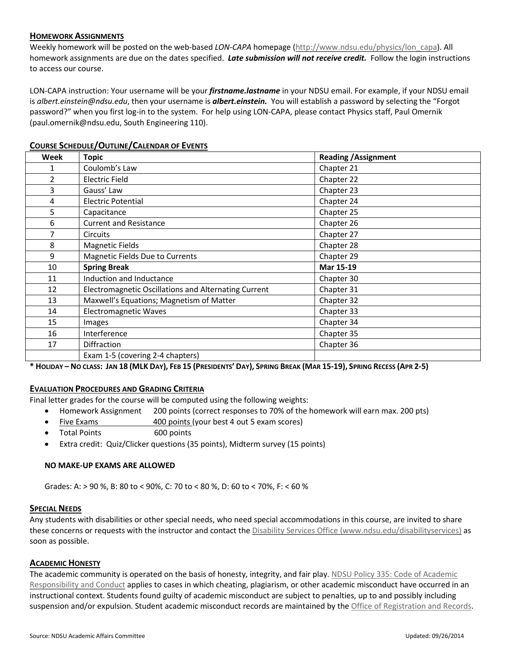## **HOMEWORK ASSIGNMENTS**

Weekly homework will be posted on the web-based *LON-CAPA* homepage [\(http://www.ndsu.edu/physics/lon\\_capa\)](http://www.ndsu.edu/physics/lon_capa). All homework assignments are due on the dates specified. *Late submission will not receive credit.* Follow the login instructions to access our course.

LON-CAPA instruction: Your username will be your *firstname.lastname* in your NDSU email. For example, if your NDSU email is *albert.einstein@ndsu.edu*, then your username is *albert.einstein.* You will establish a password by selecting the "Forgot password?" when you first log-in to the system. For help using LON-CAPA, please contact Physics staff, Paul Omernik (paul.omernik@ndsu.edu, South Engineering 110).

| Week           | <b>Topic</b>                                         | <b>Reading / Assignment</b> |
|----------------|------------------------------------------------------|-----------------------------|
| 1              | Coulomb's Law                                        | Chapter 21                  |
| $\overline{2}$ | <b>Electric Field</b>                                | Chapter 22                  |
| 3              | Gauss' Law                                           | Chapter 23                  |
| 4              | <b>Electric Potential</b>                            | Chapter 24                  |
| 5              | Capacitance                                          | Chapter 25                  |
| 6              | <b>Current and Resistance</b>                        | Chapter 26                  |
| 7              | <b>Circuits</b>                                      | Chapter 27                  |
| 8              | <b>Magnetic Fields</b>                               | Chapter 28                  |
| 9              | Magnetic Fields Due to Currents                      | Chapter 29                  |
| 10             | <b>Spring Break</b>                                  | Mar 15-19                   |
| 11             | Induction and Inductance                             | Chapter 30                  |
| 12             | Electromagnetic Oscillations and Alternating Current | Chapter 31                  |
| 13             | Maxwell's Equations; Magnetism of Matter             | Chapter 32                  |
| 14             | <b>Electromagnetic Waves</b>                         | Chapter 33                  |
| 15             | Images                                               | Chapter 34                  |
| 16             | Interference                                         | Chapter 35                  |
| 17             | Diffraction                                          | Chapter 36                  |
|                | Exam 1-5 (covering 2-4 chapters)                     |                             |

## **COURSE SCHEDULE/OUTLINE/CALENDAR OF EVENTS**

**\* HOLIDAY – NO CLASS: JAN 18 (MLK DAY), FEB 15 (PRESIDENTS' DAY), SPRING BREAK (MAR 15-19), SPRING RECESS (APR 2-5)**

## **EVALUATION PROCEDURES AND GRADING CRITERIA**

Final letter grades for the course will be computed using the following weights:

- Homework Assignment 200 points (correct responses to 70% of the homework will earn max. 200 pts)
- Five Exams 400 points (your best 4 out 5 exam scores)
- Total Points 600 points
- Extra credit: Quiz/Clicker questions (35 points), Midterm survey (15 points)

#### **NO MAKE-UP EXAMS ARE ALLOWED**

Grades: A: > 90 %, B: 80 to < 90%, C: 70 to < 80 %, D: 60 to < 70%, F: < 60 %

#### **SPECIAL NEEDS**

Any students with disabilities or other special needs, who need special accommodations in this course, are invited to share these concerns or requests with the instructor and contact the [Disability Services Office \(www.ndsu.edu/disabilityservices\)](http://www.ndsu.edu/disabilityservices/) as soon as possible.

#### **ACADEMIC HONESTY**

The academic community is operated on the basis of honesty, integrity, and fair play. NDSU Policy 335: Code of Academic [Responsibility and Conduct](http://www.ndsu.edu/fileadmin/policy/335.pdf) applies to cases in which cheating, plagiarism, or other academic misconduct have occurred in an instructional context. Students found guilty of academic misconduct are subject to penalties, up to and possibly including suspension and/or expulsion. Student academic misconduct records are maintained by the [Office of Registration and Records.](http://www.ndsu.edu/registrar/)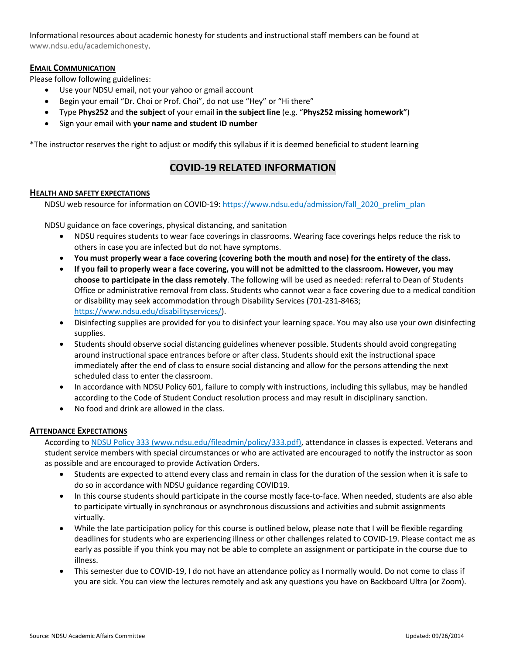Informational resources about academic honesty for students and instructional staff members can be found at [www.ndsu.edu/academichonesty.](http://www.ndsu.edu/academichonesty)

## **EMAIL COMMUNICATION**

Please follow following guidelines:

- Use your NDSU email, not your yahoo or gmail account
- Begin your email "Dr. Choi or Prof. Choi", do not use "Hey" or "Hi there"
- Type **Phys252** and **the subject** of your email **in the subject line** (e.g. "**Phys252 missing homework"**)
- Sign your email with **your name and student ID number**

\*The instructor reserves the right to adjust or modify this syllabus if it is deemed beneficial to student learning

# **COVID-19 RELATED INFORMATION**

## **HEALTH AND SAFETY EXPECTATIONS**

NDSU web resource for information on COVID-19: https://www.ndsu.edu/admission/fall\_2020\_prelim\_plan

NDSU guidance on face coverings, physical distancing, and sanitation

- NDSU requires students to wear face coverings in classrooms. Wearing face coverings helps reduce the risk to others in case you are infected but do not have symptoms.
- **You must properly wear a face covering (covering both the mouth and nose) for the entirety of the class.**
- **If you fail to properly wear a face covering, you will not be admitted to the classroom. However, you may choose to participate in the class remotely**. The following will be used as needed: referral to Dean of Students Office or administrative removal from class. Students who cannot wear a face covering due to a medical condition or disability may seek accommodation through Disability Services (701-231-8463; [https://www.ndsu.edu/disabilityservices/\)](https://www.ndsu.edu/disabilityservices/).
- Disinfecting supplies are provided for you to disinfect your learning space. You may also use your own disinfecting supplies.
- Students should observe social distancing guidelines whenever possible. Students should avoid congregating around instructional space entrances before or after class. Students should exit the instructional space immediately after the end of class to ensure social distancing and allow for the persons attending the next scheduled class to enter the classroom.
- In accordance with NDSU Policy 601, failure to comply with instructions, including this syllabus, may be handled according to the Code of Student Conduct resolution process and may result in disciplinary sanction.
- No food and drink are allowed in the class.

## **ATTENDANCE EXPECTATIONS**

According t[o NDSU Policy 333 \(www.ndsu.edu/fileadmin/policy/333.pdf\),](http://www.ndsu.edu/fileadmin/policy/333.pdf) attendance in classes is expected. Veterans and student service members with special circumstances or who are activated are encouraged to notify the instructor as soon as possible and are encouraged to provide Activation Orders.

- Students are expected to attend every class and remain in class for the duration of the session when it is safe to do so in accordance with NDSU guidance regarding COVID19.
- In this course students should participate in the course mostly face-to-face. When needed, students are also able to participate virtually in synchronous or asynchronous discussions and activities and submit assignments virtually.
- While the late participation policy for this course is outlined below, please note that I will be flexible regarding deadlines for students who are experiencing illness or other challenges related to COVID-19. Please contact me as early as possible if you think you may not be able to complete an assignment or participate in the course due to illness.
- This semester due to COVID-19, I do not have an attendance policy as I normally would. Do not come to class if you are sick. You can view the lectures remotely and ask any questions you have on Backboard Ultra (or Zoom).